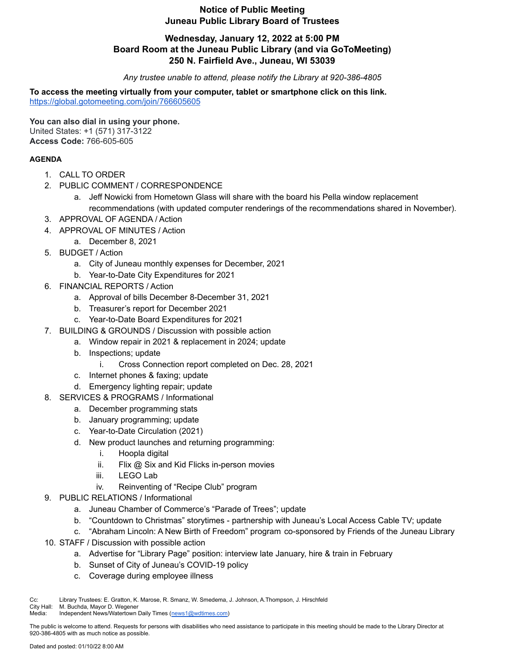# **Notice of Public Meeting Juneau Public Library Board of Trustees**

### **Wednesday, January 12, 2022 at 5:00 PM Board Room at the Juneau Public Library (and via GoToMeeting) 250 N. Fairfield Ave., Juneau, WI 53039**

*Any trustee unable to attend, please notify the Library at 920-386-4805*

**To access the meeting virtually from your computer, tablet or smartphone click on this link.** <https://global.gotomeeting.com/join/766605605>

**You can also dial in using your phone.** United States: +1 (571) 317-3122 **Access Code:** 766-605-605

#### **AGENDA**

- 1. CALL TO ORDER
- 2. PUBLIC COMMENT / CORRESPONDENCE
	- a. Jeff Nowicki from Hometown Glass will share with the board his Pella window replacement recommendations (with updated computer renderings of the recommendations shared in November).
- 3. APPROVAL OF AGENDA / Action
- 4. APPROVAL OF MINUTES / Action
	- a. December 8, 2021
- 5. BUDGET / Action
	- a. City of Juneau monthly expenses for December, 2021
	- b. Year-to-Date City Expenditures for 2021
- 6. FINANCIAL REPORTS / Action
	- a. Approval of bills December 8-December 31, 2021
	- b. Treasurer's report for December 2021
	- c. Year-to-Date Board Expenditures for 2021
- 7. BUILDING & GROUNDS / Discussion with possible action
	- a. Window repair in 2021 & replacement in 2024; update
	- b. Inspections; update
		- i. Cross Connection report completed on Dec. 28, 2021
	- c. Internet phones & faxing; update
	- d. Emergency lighting repair; update
- 8. SERVICES & PROGRAMS / Informational
	- a. December programming stats
	- b. January programming; update
	- c. Year-to-Date Circulation (2021)
	- d. New product launches and returning programming:
		- i. Hoopla digital
		- ii. Flix @ Six and Kid Flicks in-person movies
		- iii. LEGO Lab
		- iv. Reinventing of "Recipe Club" program
- 9. PUBLIC RELATIONS / Informational
	- a. Juneau Chamber of Commerce's "Parade of Trees"; update
	- b. "Countdown to Christmas" storytimes partnership with Juneau's Local Access Cable TV; update
	- c. "Abraham Lincoln: A New Birth of Freedom" program co-sponsored by Friends of the Juneau Library
- 10. STAFF / Discussion with possible action
	- a. Advertise for "Library Page" position: interview late January, hire & train in February
	- b. Sunset of City of Juneau's COVID-19 policy
	- c. Coverage during employee illness

Cc: Library Trustees: E. Gratton, K. Marose, R. Smanz, W. Smedema, J. Johnson, A.Thompson, J. Hirschfeld

City Hall: M. Buchda, Mayor D. Wegener

Media: Independent News/Watertown Daily Times ([news1@wdtimes.com](mailto:news1@wdtimes.com))

The public is welcome to attend. Requests for persons with disabilities who need assistance to participate in this meeting should be made to the Library Director at 920-386-4805 with as much notice as possible.